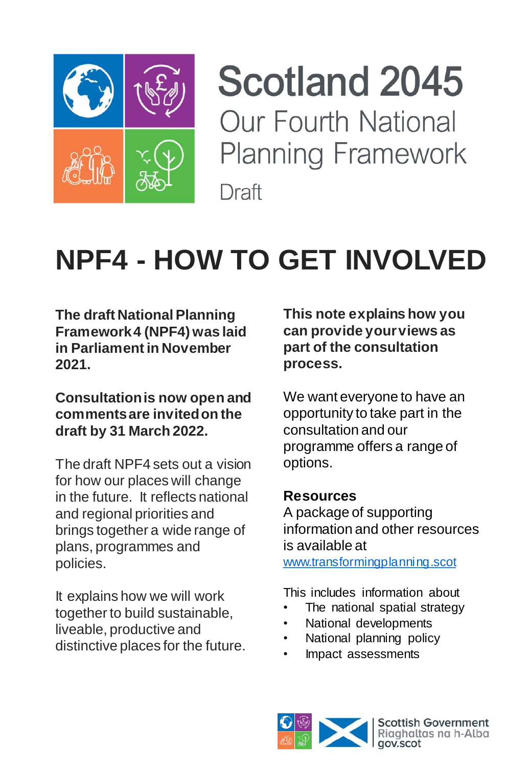

# **Scotland 2045 Our Fourth National Planning Framework**

Draft

# **NPF4 - HOW TO GET INVOLVED**

**The draft National Planning Framework 4 (NPF4) was laid in Parliament in November 2021.** 

**Consultation is now open and comments are invited on the draft by 31 March 2022.**

The draft NPF4 sets out a vision for how our places will change in the future. It reflects national and regional priorities and brings together a wide range of plans, programmes and policies.

It explains how we will work together to build sustainable, liveable, productive and distinctive places for the future. **This note explains how you can provide your views as part of the consultation process.**

We want everyone to have an opportunity to take part in the consultation and our programme offers a range of options.

#### **Resources**

A package of supporting information and other resources is available at [www.transformingplanning.scot](http://www.transformingplanning.scot/)

This includes information about

- The national spatial strategy
- National developments
- National planning policy
- Impact assessments